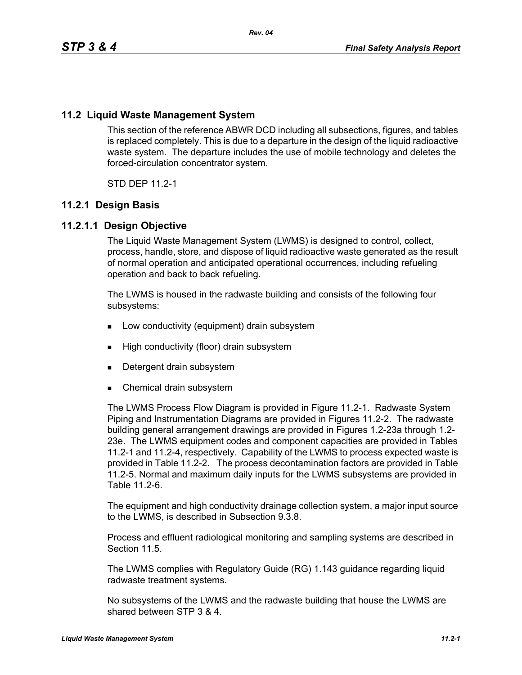# **11.2 Liquid Waste Management System**

This section of the reference ABWR DCD including all subsections, figures, and tables is replaced completely. This is due to a departure in the design of the liquid radioactive waste system. The departure includes the use of mobile technology and deletes the forced-circulation concentrator system.

STD DFP 11 2-1

# **11.2.1 Design Basis**

## **11.2.1.1 Design Objective**

The Liquid Waste Management System (LWMS) is designed to control, collect, process, handle, store, and dispose of liquid radioactive waste generated as the result of normal operation and anticipated operational occurrences, including refueling operation and back to back refueling.

The LWMS is housed in the radwaste building and consists of the following four subsystems:

- **Low conductivity (equipment) drain subsystem**
- **High conductivity (floor) drain subsystem**
- Detergent drain subsystem
- Chemical drain subsystem

The LWMS Process Flow Diagram is provided in Figure 11.2-1. Radwaste System Piping and Instrumentation Diagrams are provided in Figures 11.2-2. The radwaste building general arrangement drawings are provided in Figures 1.2-23a through 1.2- 23e. The LWMS equipment codes and component capacities are provided in Tables 11.2-1 and 11.2-4, respectively. Capability of the LWMS to process expected waste is provided in Table 11.2-2. The process decontamination factors are provided in Table 11.2-5. Normal and maximum daily inputs for the LWMS subsystems are provided in Table 11 2-6

The equipment and high conductivity drainage collection system, a major input source to the LWMS, is described in Subsection 9.3.8.

Process and effluent radiological monitoring and sampling systems are described in Section 11.5.

The LWMS complies with Regulatory Guide (RG) 1.143 guidance regarding liquid radwaste treatment systems.

No subsystems of the LWMS and the radwaste building that house the LWMS are shared between STP 3 & 4.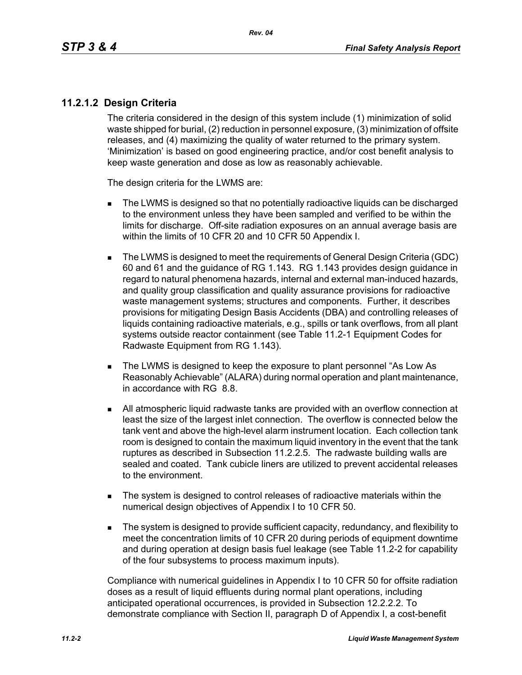## **11.2.1.2 Design Criteria**

The criteria considered in the design of this system include (1) minimization of solid waste shipped for burial, (2) reduction in personnel exposure, (3) minimization of offsite releases, and (4) maximizing the quality of water returned to the primary system. 'Minimization' is based on good engineering practice, and/or cost benefit analysis to keep waste generation and dose as low as reasonably achievable.

The design criteria for the LWMS are:

- The LWMS is designed so that no potentially radioactive liquids can be discharged to the environment unless they have been sampled and verified to be within the limits for discharge. Off-site radiation exposures on an annual average basis are within the limits of 10 CFR 20 and 10 CFR 50 Appendix I.
- The LWMS is designed to meet the requirements of General Design Criteria (GDC) 60 and 61 and the guidance of RG 1.143. RG 1.143 provides design guidance in regard to natural phenomena hazards, internal and external man-induced hazards, and quality group classification and quality assurance provisions for radioactive waste management systems; structures and components. Further, it describes provisions for mitigating Design Basis Accidents (DBA) and controlling releases of liquids containing radioactive materials, e.g., spills or tank overflows, from all plant systems outside reactor containment (see Table 11.2-1 Equipment Codes for Radwaste Equipment from RG 1.143).
- The LWMS is designed to keep the exposure to plant personnel "As Low As Reasonably Achievable" (ALARA) during normal operation and plant maintenance, in accordance with RG 8.8.
- All atmospheric liquid radwaste tanks are provided with an overflow connection at least the size of the largest inlet connection. The overflow is connected below the tank vent and above the high-level alarm instrument location. Each collection tank room is designed to contain the maximum liquid inventory in the event that the tank ruptures as described in Subsection 11.2.2.5. The radwaste building walls are sealed and coated. Tank cubicle liners are utilized to prevent accidental releases to the environment.
- The system is designed to control releases of radioactive materials within the numerical design objectives of Appendix I to 10 CFR 50.
- The system is designed to provide sufficient capacity, redundancy, and flexibility to meet the concentration limits of 10 CFR 20 during periods of equipment downtime and during operation at design basis fuel leakage (see Table 11.2-2 for capability of the four subsystems to process maximum inputs).

Compliance with numerical guidelines in Appendix I to 10 CFR 50 for offsite radiation doses as a result of liquid effluents during normal plant operations, including anticipated operational occurrences, is provided in Subsection 12.2.2.2. To demonstrate compliance with Section II, paragraph D of Appendix I, a cost-benefit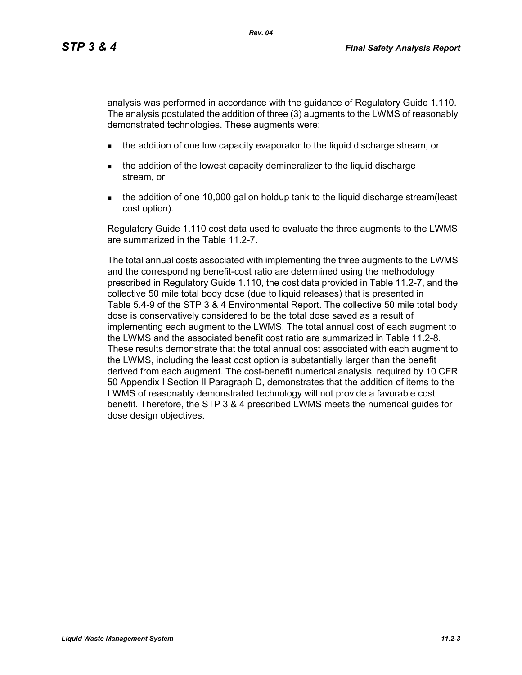analysis was performed in accordance with the guidance of Regulatory Guide 1.110. The analysis postulated the addition of three (3) augments to the LWMS of reasonably demonstrated technologies. These augments were:

- **the addition of one low capacity evaporator to the liquid discharge stream, or**
- the addition of the lowest capacity demineralizer to the liquid discharge stream, or
- the addition of one 10,000 gallon holdup tank to the liquid discharge stream(least cost option).

Regulatory Guide 1.110 cost data used to evaluate the three augments to the LWMS are summarized in the Table 11.2-7.

The total annual costs associated with implementing the three augments to the LWMS and the corresponding benefit-cost ratio are determined using the methodology prescribed in Regulatory Guide 1.110, the cost data provided in Table 11.2-7, and the collective 50 mile total body dose (due to liquid releases) that is presented in Table 5.4-9 of the STP 3 & 4 Environmental Report. The collective 50 mile total body dose is conservatively considered to be the total dose saved as a result of implementing each augment to the LWMS. The total annual cost of each augment to the LWMS and the associated benefit cost ratio are summarized in Table 11.2-8. These results demonstrate that the total annual cost associated with each augment to the LWMS, including the least cost option is substantially larger than the benefit derived from each augment. The cost-benefit numerical analysis, required by 10 CFR 50 Appendix I Section II Paragraph D, demonstrates that the addition of items to the LWMS of reasonably demonstrated technology will not provide a favorable cost benefit. Therefore, the STP 3 & 4 prescribed LWMS meets the numerical guides for dose design objectives.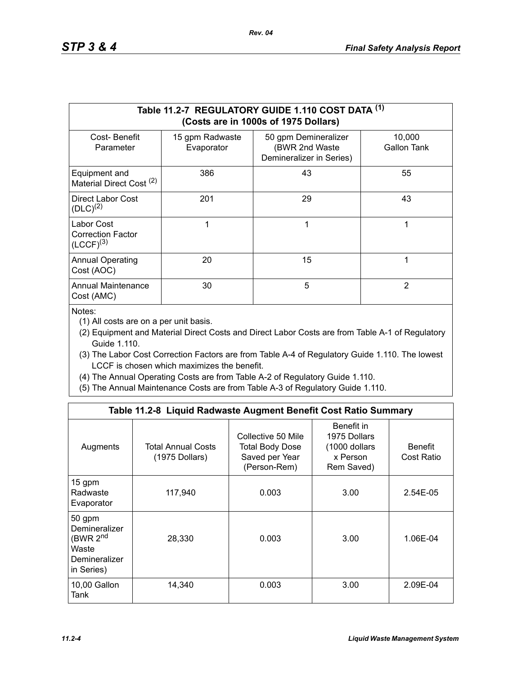|                                                          |                               | Table 11.2-7 REGULATORY GUIDE 1.110 COST DATA (1)<br>(Costs are in 1000s of 1975 Dollars) |                       |
|----------------------------------------------------------|-------------------------------|-------------------------------------------------------------------------------------------|-----------------------|
| Cost-Benefit<br>Parameter                                | 15 gpm Radwaste<br>Evaporator | 50 gpm Demineralizer<br>(BWR 2nd Waste<br>Demineralizer in Series)                        | 10,000<br>Gallon Tank |
| Equipment and<br>Material Direct Cost <sup>(2)</sup>     | 386                           | 43                                                                                        | 55                    |
| Direct Labor Cost<br>$(DLC)^{(2)}$                       | 201                           | 29                                                                                        | 43                    |
| Labor Cost<br><b>Correction Factor</b><br>$(LCCF)^{(3)}$ |                               | 1                                                                                         | 1                     |
| <b>Annual Operating</b><br>Cost (AOC)                    | 20                            | 15                                                                                        | 1                     |
| <b>Annual Maintenance</b><br>Cost (AMC)                  | 30                            | 5                                                                                         | $\overline{2}$        |

Notes:

(1) All costs are on a per unit basis.

- (2) Equipment and Material Direct Costs and Direct Labor Costs are from Table A-1 of Regulatory Guide 1.110.
- (3) The Labor Cost Correction Factors are from Table A-4 of Regulatory Guide 1.110. The lowest LCCF is chosen which maximizes the benefit.
- (4) The Annual Operating Costs are from Table A-2 of Regulatory Guide 1.110.
- (5) The Annual Maintenance Costs are from Table A-3 of Regulatory Guide 1.110.

|                                                                                         | Table 11.2-8 Liquid Radwaste Augment Benefit Cost Ratio Summary |                                                                         |                                                                       |                              |
|-----------------------------------------------------------------------------------------|-----------------------------------------------------------------|-------------------------------------------------------------------------|-----------------------------------------------------------------------|------------------------------|
| Augments                                                                                | <b>Total Annual Costs</b><br>(1975 Dollars)                     | Collective 50 Mile<br>Total Body Dose<br>Saved per Year<br>(Person-Rem) | Benefit in<br>1975 Dollars<br>(1000 dollars<br>x Person<br>Rem Saved) | <b>Benefit</b><br>Cost Ratio |
| 15 gpm<br>Radwaste<br>Evaporator                                                        | 117,940                                                         | 0.003                                                                   | 3.00                                                                  | 2.54E-05                     |
| 50 gpm<br>Demineralizer<br>(BWR 2 <sup>nd</sup><br>Waste<br>Demineralizer<br>in Series) | 28,330                                                          | 0.003                                                                   | 3.00                                                                  | 1.06E-04                     |
| 10,00 Gallon<br>Tank                                                                    | 14,340                                                          | 0.003                                                                   | 3.00                                                                  | 2.09E-04                     |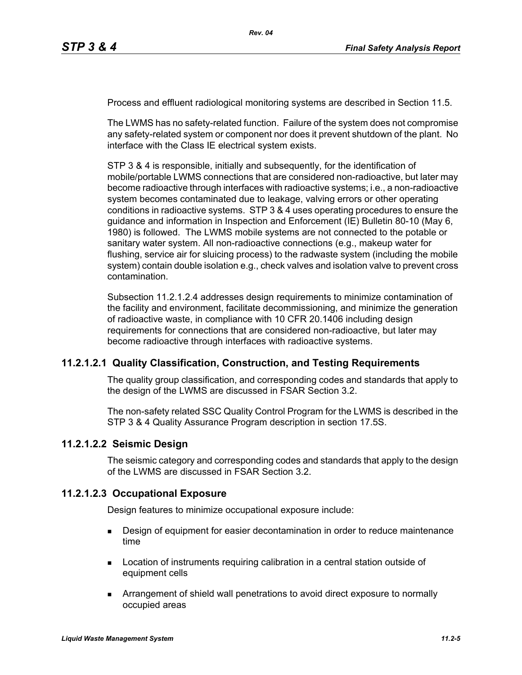Process and effluent radiological monitoring systems are described in Section 11.5.

The LWMS has no safety-related function. Failure of the system does not compromise any safety-related system or component nor does it prevent shutdown of the plant. No interface with the Class IE electrical system exists.

STP 3 & 4 is responsible, initially and subsequently, for the identification of mobile/portable LWMS connections that are considered non-radioactive, but later may become radioactive through interfaces with radioactive systems; i.e., a non-radioactive system becomes contaminated due to leakage, valving errors or other operating conditions in radioactive systems. STP 3 & 4 uses operating procedures to ensure the guidance and information in Inspection and Enforcement (IE) Bulletin 80-10 (May 6, 1980) is followed. The LWMS mobile systems are not connected to the potable or sanitary water system. All non-radioactive connections (e.g., makeup water for flushing, service air for sluicing process) to the radwaste system (including the mobile system) contain double isolation e.g., check valves and isolation valve to prevent cross contamination.

Subsection 11.2.1.2.4 addresses design requirements to minimize contamination of the facility and environment, facilitate decommissioning, and minimize the generation of radioactive waste, in compliance with 10 CFR 20.1406 including design requirements for connections that are considered non-radioactive, but later may become radioactive through interfaces with radioactive systems.

#### **11.2.1.2.1 Quality Classification, Construction, and Testing Requirements**

The quality group classification, and corresponding codes and standards that apply to the design of the LWMS are discussed in FSAR Section 3.2.

The non-safety related SSC Quality Control Program for the LWMS is described in the STP 3 & 4 Quality Assurance Program description in section 17.5S.

#### **11.2.1.2.2 Seismic Design**

The seismic category and corresponding codes and standards that apply to the design of the LWMS are discussed in FSAR Section 3.2.

#### **11.2.1.2.3 Occupational Exposure**

Design features to minimize occupational exposure include:

- **Design of equipment for easier decontamination in order to reduce maintenance** time
- **Location of instruments requiring calibration in a central station outside of** equipment cells
- Arrangement of shield wall penetrations to avoid direct exposure to normally occupied areas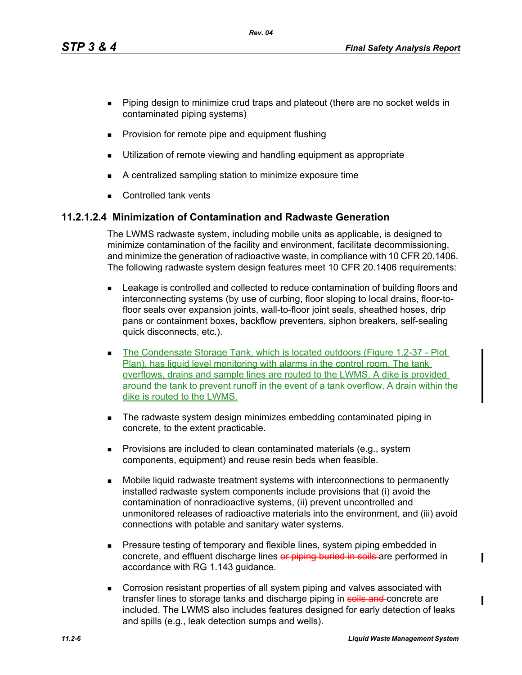*Rev. 04*

- **Piping design to minimize crud traps and plateout (there are no socket welds in** contaminated piping systems)
- **Provision for remote pipe and equipment flushing**
- **Utilization of remote viewing and handling equipment as appropriate**
- A centralized sampling station to minimize exposure time
- **Controlled tank vents**

# **11.2.1.2.4 Minimization of Contamination and Radwaste Generation**

The LWMS radwaste system, including mobile units as applicable, is designed to minimize contamination of the facility and environment, facilitate decommissioning, and minimize the generation of radioactive waste, in compliance with 10 CFR 20.1406. The following radwaste system design features meet 10 CFR 20.1406 requirements:

- **EXECTED EXECTED EXECTED EXECTED** Leakage is controlled and collected to reduce contamination of building floors and interconnecting systems (by use of curbing, floor sloping to local drains, floor-tofloor seals over expansion joints, wall-to-floor joint seals, sheathed hoses, drip pans or containment boxes, backflow preventers, siphon breakers, self-sealing quick disconnects, etc.).
- The Condensate Storage Tank, which is located outdoors (Figure 1.2-37 Plot Plan), has liquid level monitoring with alarms in the control room. The tank overflows, drains and sample lines are routed to the LWMS. A dike is provided around the tank to prevent runoff in the event of a tank overflow. A drain within the dike is routed to the LWMS.
- The radwaste system design minimizes embedding contaminated piping in concrete, to the extent practicable.
- **Provisions are included to clean contaminated materials (e.g., system** components, equipment) and reuse resin beds when feasible.
- Mobile liquid radwaste treatment systems with interconnections to permanently installed radwaste system components include provisions that (i) avoid the contamination of nonradioactive systems, (ii) prevent uncontrolled and unmonitored releases of radioactive materials into the environment, and (iii) avoid connections with potable and sanitary water systems.
- **Pressure testing of temporary and flexible lines, system piping embedded in** concrete, and effluent discharge lines or piping buried in soils are performed in accordance with RG 1.143 guidance.
- Corrosion resistant properties of all system piping and valves associated with transfer lines to storage tanks and discharge piping in soils and concrete are included. The LWMS also includes features designed for early detection of leaks and spills (e.g., leak detection sumps and wells).

 $\blacksquare$ 

ı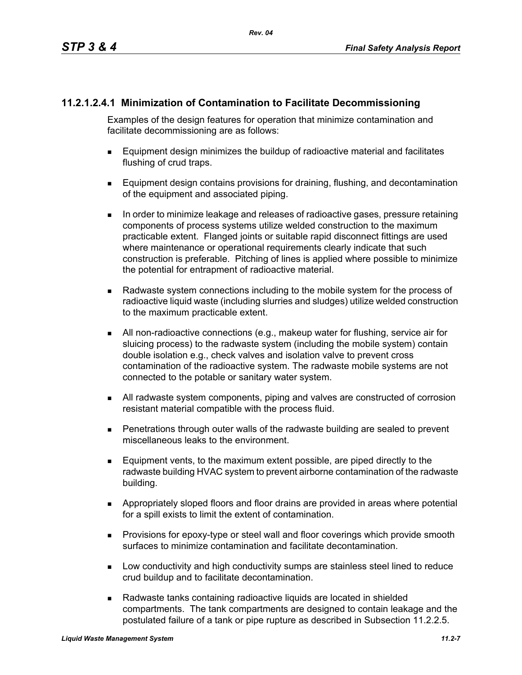# **11.2.1.2.4.1 Minimization of Contamination to Facilitate Decommissioning**

Examples of the design features for operation that minimize contamination and facilitate decommissioning are as follows:

- Equipment design minimizes the buildup of radioactive material and facilitates flushing of crud traps.
- **Equipment design contains provisions for draining, flushing, and decontamination** of the equipment and associated piping.
- In order to minimize leakage and releases of radioactive gases, pressure retaining components of process systems utilize welded construction to the maximum practicable extent. Flanged joints or suitable rapid disconnect fittings are used where maintenance or operational requirements clearly indicate that such construction is preferable. Pitching of lines is applied where possible to minimize the potential for entrapment of radioactive material.
- Radwaste system connections including to the mobile system for the process of radioactive liquid waste (including slurries and sludges) utilize welded construction to the maximum practicable extent.
- All non-radioactive connections (e.g., makeup water for flushing, service air for sluicing process) to the radwaste system (including the mobile system) contain double isolation e.g., check valves and isolation valve to prevent cross contamination of the radioactive system. The radwaste mobile systems are not connected to the potable or sanitary water system.
- All radwaste system components, piping and valves are constructed of corrosion resistant material compatible with the process fluid.
- Penetrations through outer walls of the radwaste building are sealed to prevent miscellaneous leaks to the environment.
- Equipment vents, to the maximum extent possible, are piped directly to the radwaste building HVAC system to prevent airborne contamination of the radwaste building.
- Appropriately sloped floors and floor drains are provided in areas where potential for a spill exists to limit the extent of contamination.
- **Provisions for epoxy-type or steel wall and floor coverings which provide smooth** surfaces to minimize contamination and facilitate decontamination.
- **Low conductivity and high conductivity sumps are stainless steel lined to reduce** crud buildup and to facilitate decontamination.
- Radwaste tanks containing radioactive liquids are located in shielded compartments. The tank compartments are designed to contain leakage and the postulated failure of a tank or pipe rupture as described in Subsection 11.2.2.5.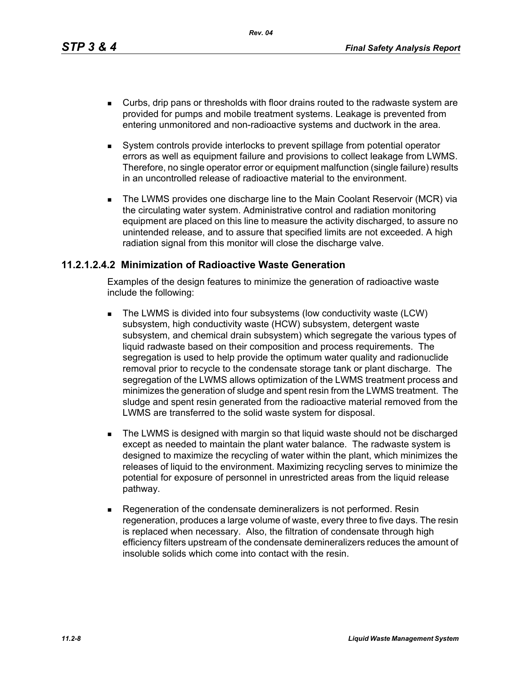*Rev. 04*

- Curbs, drip pans or thresholds with floor drains routed to the radwaste system are provided for pumps and mobile treatment systems. Leakage is prevented from entering unmonitored and non-radioactive systems and ductwork in the area.
- System controls provide interlocks to prevent spillage from potential operator errors as well as equipment failure and provisions to collect leakage from LWMS. Therefore, no single operator error or equipment malfunction (single failure) results in an uncontrolled release of radioactive material to the environment.
- The LWMS provides one discharge line to the Main Coolant Reservoir (MCR) via the circulating water system. Administrative control and radiation monitoring equipment are placed on this line to measure the activity discharged, to assure no unintended release, and to assure that specified limits are not exceeded. A high radiation signal from this monitor will close the discharge valve.

## **11.2.1.2.4.2 Minimization of Radioactive Waste Generation**

Examples of the design features to minimize the generation of radioactive waste include the following:

- The LWMS is divided into four subsystems (low conductivity waste (LCW) subsystem, high conductivity waste (HCW) subsystem, detergent waste subsystem, and chemical drain subsystem) which segregate the various types of liquid radwaste based on their composition and process requirements. The segregation is used to help provide the optimum water quality and radionuclide removal prior to recycle to the condensate storage tank or plant discharge. The segregation of the LWMS allows optimization of the LWMS treatment process and minimizes the generation of sludge and spent resin from the LWMS treatment. The sludge and spent resin generated from the radioactive material removed from the LWMS are transferred to the solid waste system for disposal.
- **The LWMS is designed with margin so that liquid waste should not be discharged** except as needed to maintain the plant water balance. The radwaste system is designed to maximize the recycling of water within the plant, which minimizes the releases of liquid to the environment. Maximizing recycling serves to minimize the potential for exposure of personnel in unrestricted areas from the liquid release pathway.
- Regeneration of the condensate demineralizers is not performed. Resin regeneration, produces a large volume of waste, every three to five days. The resin is replaced when necessary. Also, the filtration of condensate through high efficiency filters upstream of the condensate demineralizers reduces the amount of insoluble solids which come into contact with the resin.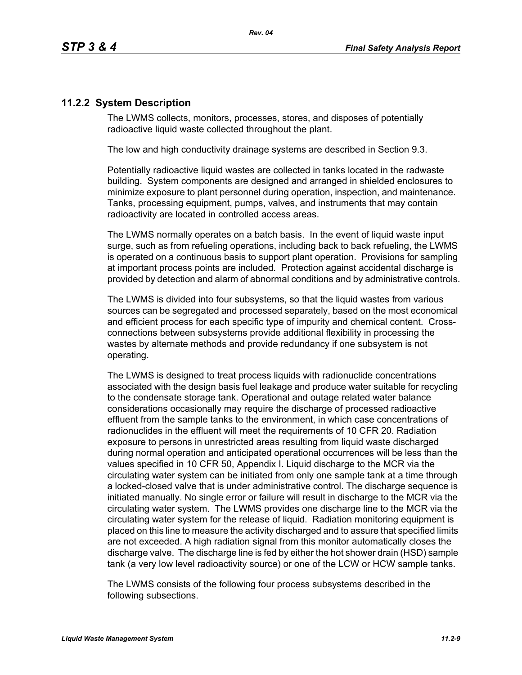# **11.2.2 System Description**

The LWMS collects, monitors, processes, stores, and disposes of potentially radioactive liquid waste collected throughout the plant.

The low and high conductivity drainage systems are described in Section 9.3.

Potentially radioactive liquid wastes are collected in tanks located in the radwaste building. System components are designed and arranged in shielded enclosures to minimize exposure to plant personnel during operation, inspection, and maintenance. Tanks, processing equipment, pumps, valves, and instruments that may contain radioactivity are located in controlled access areas.

The LWMS normally operates on a batch basis. In the event of liquid waste input surge, such as from refueling operations, including back to back refueling, the LWMS is operated on a continuous basis to support plant operation. Provisions for sampling at important process points are included. Protection against accidental discharge is provided by detection and alarm of abnormal conditions and by administrative controls.

The LWMS is divided into four subsystems, so that the liquid wastes from various sources can be segregated and processed separately, based on the most economical and efficient process for each specific type of impurity and chemical content. Crossconnections between subsystems provide additional flexibility in processing the wastes by alternate methods and provide redundancy if one subsystem is not operating.

The LWMS is designed to treat process liquids with radionuclide concentrations associated with the design basis fuel leakage and produce water suitable for recycling to the condensate storage tank. Operational and outage related water balance considerations occasionally may require the discharge of processed radioactive effluent from the sample tanks to the environment, in which case concentrations of radionuclides in the effluent will meet the requirements of 10 CFR 20. Radiation exposure to persons in unrestricted areas resulting from liquid waste discharged during normal operation and anticipated operational occurrences will be less than the values specified in 10 CFR 50, Appendix I. Liquid discharge to the MCR via the circulating water system can be initiated from only one sample tank at a time through a locked-closed valve that is under administrative control. The discharge sequence is initiated manually. No single error or failure will result in discharge to the MCR via the circulating water system. The LWMS provides one discharge line to the MCR via the circulating water system for the release of liquid. Radiation monitoring equipment is placed on this line to measure the activity discharged and to assure that specified limits are not exceeded. A high radiation signal from this monitor automatically closes the discharge valve. The discharge line is fed by either the hot shower drain (HSD) sample tank (a very low level radioactivity source) or one of the LCW or HCW sample tanks.

The LWMS consists of the following four process subsystems described in the following subsections.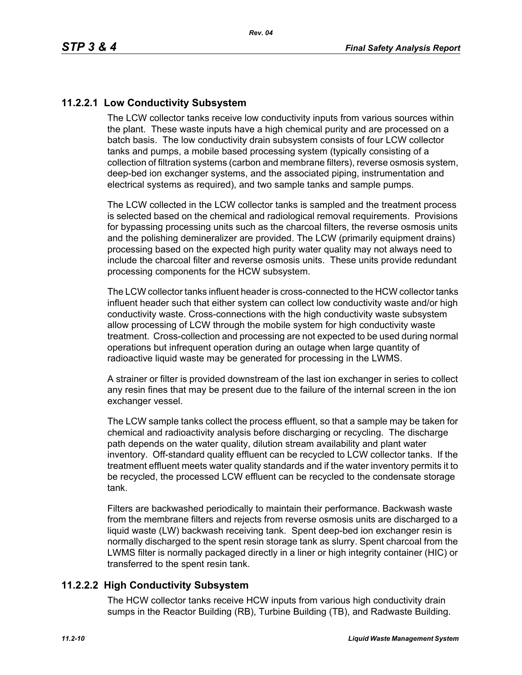# **11.2.2.1 Low Conductivity Subsystem**

The LCW collector tanks receive low conductivity inputs from various sources within the plant. These waste inputs have a high chemical purity and are processed on a batch basis. The low conductivity drain subsystem consists of four LCW collector tanks and pumps, a mobile based processing system (typically consisting of a collection of filtration systems (carbon and membrane filters), reverse osmosis system, deep-bed ion exchanger systems, and the associated piping, instrumentation and electrical systems as required), and two sample tanks and sample pumps.

The LCW collected in the LCW collector tanks is sampled and the treatment process is selected based on the chemical and radiological removal requirements. Provisions for bypassing processing units such as the charcoal filters, the reverse osmosis units and the polishing demineralizer are provided. The LCW (primarily equipment drains) processing based on the expected high purity water quality may not always need to include the charcoal filter and reverse osmosis units. These units provide redundant processing components for the HCW subsystem.

The LCW collector tanks influent header is cross-connected to the HCW collector tanks influent header such that either system can collect low conductivity waste and/or high conductivity waste. Cross-connections with the high conductivity waste subsystem allow processing of LCW through the mobile system for high conductivity waste treatment. Cross-collection and processing are not expected to be used during normal operations but infrequent operation during an outage when large quantity of radioactive liquid waste may be generated for processing in the LWMS.

A strainer or filter is provided downstream of the last ion exchanger in series to collect any resin fines that may be present due to the failure of the internal screen in the ion exchanger vessel.

The LCW sample tanks collect the process effluent, so that a sample may be taken for chemical and radioactivity analysis before discharging or recycling. The discharge path depends on the water quality, dilution stream availability and plant water inventory. Off-standard quality effluent can be recycled to LCW collector tanks. If the treatment effluent meets water quality standards and if the water inventory permits it to be recycled, the processed LCW effluent can be recycled to the condensate storage tank.

Filters are backwashed periodically to maintain their performance. Backwash waste from the membrane filters and rejects from reverse osmosis units are discharged to a liquid waste (LW) backwash receiving tank. Spent deep-bed ion exchanger resin is normally discharged to the spent resin storage tank as slurry. Spent charcoal from the LWMS filter is normally packaged directly in a liner or high integrity container (HIC) or transferred to the spent resin tank.

## **11.2.2.2 High Conductivity Subsystem**

The HCW collector tanks receive HCW inputs from various high conductivity drain sumps in the Reactor Building (RB), Turbine Building (TB), and Radwaste Building.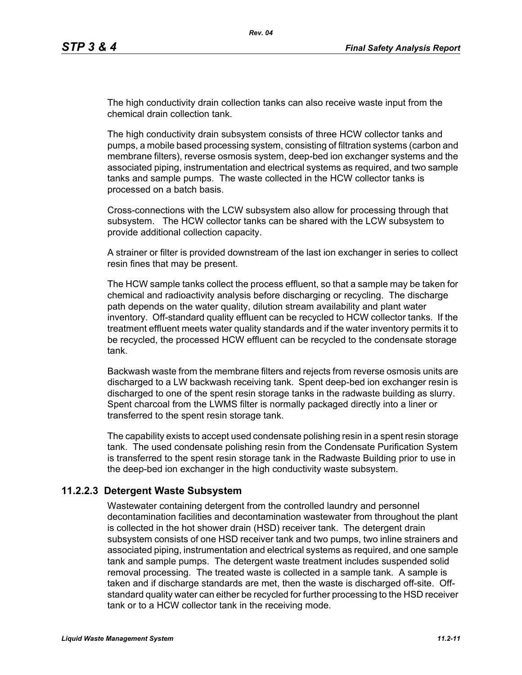The high conductivity drain collection tanks can also receive waste input from the chemical drain collection tank.

The high conductivity drain subsystem consists of three HCW collector tanks and pumps, a mobile based processing system, consisting of filtration systems (carbon and membrane filters), reverse osmosis system, deep-bed ion exchanger systems and the associated piping, instrumentation and electrical systems as required, and two sample tanks and sample pumps. The waste collected in the HCW collector tanks is processed on a batch basis.

Cross-connections with the LCW subsystem also allow for processing through that subsystem. The HCW collector tanks can be shared with the LCW subsystem to provide additional collection capacity.

A strainer or filter is provided downstream of the last ion exchanger in series to collect resin fines that may be present.

The HCW sample tanks collect the process effluent, so that a sample may be taken for chemical and radioactivity analysis before discharging or recycling. The discharge path depends on the water quality, dilution stream availability and plant water inventory. Off-standard quality effluent can be recycled to HCW collector tanks. If the treatment effluent meets water quality standards and if the water inventory permits it to be recycled, the processed HCW effluent can be recycled to the condensate storage tank.

Backwash waste from the membrane filters and rejects from reverse osmosis units are discharged to a LW backwash receiving tank. Spent deep-bed ion exchanger resin is discharged to one of the spent resin storage tanks in the radwaste building as slurry. Spent charcoal from the LWMS filter is normally packaged directly into a liner or transferred to the spent resin storage tank.

The capability exists to accept used condensate polishing resin in a spent resin storage tank. The used condensate polishing resin from the Condensate Purification System is transferred to the spent resin storage tank in the Radwaste Building prior to use in the deep-bed ion exchanger in the high conductivity waste subsystem.

#### **11.2.2.3 Detergent Waste Subsystem**

Wastewater containing detergent from the controlled laundry and personnel decontamination facilities and decontamination wastewater from throughout the plant is collected in the hot shower drain (HSD) receiver tank. The detergent drain subsystem consists of one HSD receiver tank and two pumps, two inline strainers and associated piping, instrumentation and electrical systems as required, and one sample tank and sample pumps. The detergent waste treatment includes suspended solid removal processing. The treated waste is collected in a sample tank. A sample is taken and if discharge standards are met, then the waste is discharged off-site. Offstandard quality water can either be recycled for further processing to the HSD receiver tank or to a HCW collector tank in the receiving mode.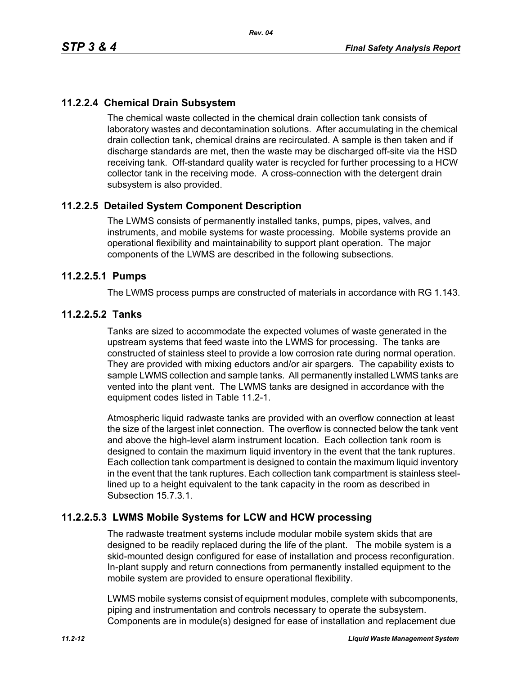# **11.2.2.4 Chemical Drain Subsystem**

The chemical waste collected in the chemical drain collection tank consists of laboratory wastes and decontamination solutions. After accumulating in the chemical drain collection tank, chemical drains are recirculated. A sample is then taken and if discharge standards are met, then the waste may be discharged off-site via the HSD receiving tank. Off-standard quality water is recycled for further processing to a HCW collector tank in the receiving mode. A cross-connection with the detergent drain subsystem is also provided.

## **11.2.2.5 Detailed System Component Description**

The LWMS consists of permanently installed tanks, pumps, pipes, valves, and instruments, and mobile systems for waste processing. Mobile systems provide an operational flexibility and maintainability to support plant operation. The major components of the LWMS are described in the following subsections.

#### **11.2.2.5.1 Pumps**

The LWMS process pumps are constructed of materials in accordance with RG 1.143.

## **11.2.2.5.2 Tanks**

Tanks are sized to accommodate the expected volumes of waste generated in the upstream systems that feed waste into the LWMS for processing. The tanks are constructed of stainless steel to provide a low corrosion rate during normal operation. They are provided with mixing eductors and/or air spargers. The capability exists to sample LWMS collection and sample tanks. All permanently installed LWMS tanks are vented into the plant vent. The LWMS tanks are designed in accordance with the equipment codes listed in Table 11.2-1.

Atmospheric liquid radwaste tanks are provided with an overflow connection at least the size of the largest inlet connection. The overflow is connected below the tank vent and above the high-level alarm instrument location. Each collection tank room is designed to contain the maximum liquid inventory in the event that the tank ruptures. Each collection tank compartment is designed to contain the maximum liquid inventory in the event that the tank ruptures. Each collection tank compartment is stainless steellined up to a height equivalent to the tank capacity in the room as described in Subsection 15.7.3.1.

#### **11.2.2.5.3 LWMS Mobile Systems for LCW and HCW processing**

The radwaste treatment systems include modular mobile system skids that are designed to be readily replaced during the life of the plant. The mobile system is a skid-mounted design configured for ease of installation and process reconfiguration. In-plant supply and return connections from permanently installed equipment to the mobile system are provided to ensure operational flexibility.

LWMS mobile systems consist of equipment modules, complete with subcomponents, piping and instrumentation and controls necessary to operate the subsystem. Components are in module(s) designed for ease of installation and replacement due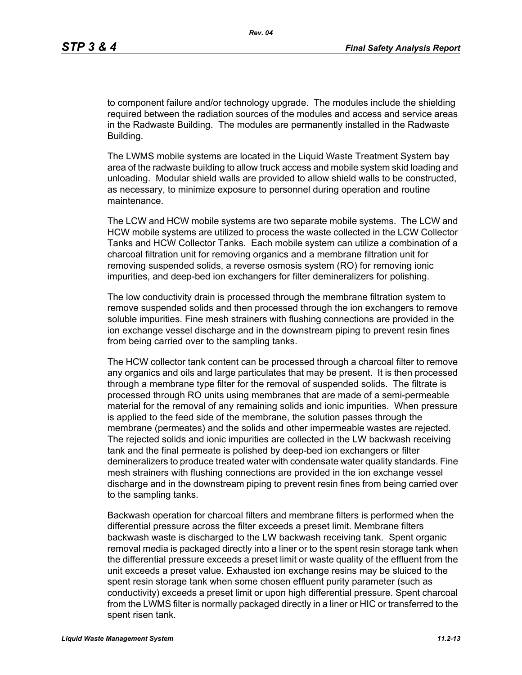to component failure and/or technology upgrade. The modules include the shielding required between the radiation sources of the modules and access and service areas in the Radwaste Building. The modules are permanently installed in the Radwaste Building.

The LWMS mobile systems are located in the Liquid Waste Treatment System bay area of the radwaste building to allow truck access and mobile system skid loading and unloading. Modular shield walls are provided to allow shield walls to be constructed, as necessary, to minimize exposure to personnel during operation and routine maintenance.

The LCW and HCW mobile systems are two separate mobile systems. The LCW and HCW mobile systems are utilized to process the waste collected in the LCW Collector Tanks and HCW Collector Tanks. Each mobile system can utilize a combination of a charcoal filtration unit for removing organics and a membrane filtration unit for removing suspended solids, a reverse osmosis system (RO) for removing ionic impurities, and deep-bed ion exchangers for filter demineralizers for polishing.

The low conductivity drain is processed through the membrane filtration system to remove suspended solids and then processed through the ion exchangers to remove soluble impurities. Fine mesh strainers with flushing connections are provided in the ion exchange vessel discharge and in the downstream piping to prevent resin fines from being carried over to the sampling tanks.

The HCW collector tank content can be processed through a charcoal filter to remove any organics and oils and large particulates that may be present. It is then processed through a membrane type filter for the removal of suspended solids. The filtrate is processed through RO units using membranes that are made of a semi-permeable material for the removal of any remaining solids and ionic impurities. When pressure is applied to the feed side of the membrane, the solution passes through the membrane (permeates) and the solids and other impermeable wastes are rejected. The rejected solids and ionic impurities are collected in the LW backwash receiving tank and the final permeate is polished by deep-bed ion exchangers or filter demineralizers to produce treated water with condensate water quality standards. Fine mesh strainers with flushing connections are provided in the ion exchange vessel discharge and in the downstream piping to prevent resin fines from being carried over to the sampling tanks.

Backwash operation for charcoal filters and membrane filters is performed when the differential pressure across the filter exceeds a preset limit. Membrane filters backwash waste is discharged to the LW backwash receiving tank. Spent organic removal media is packaged directly into a liner or to the spent resin storage tank when the differential pressure exceeds a preset limit or waste quality of the effluent from the unit exceeds a preset value. Exhausted ion exchange resins may be sluiced to the spent resin storage tank when some chosen effluent purity parameter (such as conductivity) exceeds a preset limit or upon high differential pressure. Spent charcoal from the LWMS filter is normally packaged directly in a liner or HIC or transferred to the spent risen tank.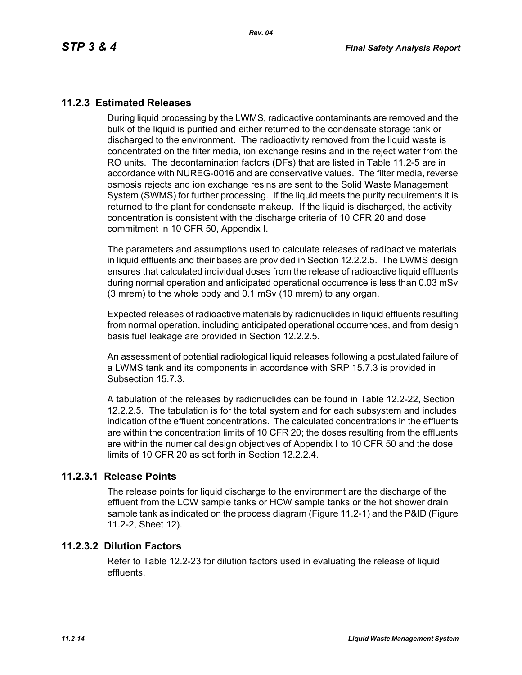## **11.2.3 Estimated Releases**

During liquid processing by the LWMS, radioactive contaminants are removed and the bulk of the liquid is purified and either returned to the condensate storage tank or discharged to the environment. The radioactivity removed from the liquid waste is concentrated on the filter media, ion exchange resins and in the reject water from the RO units. The decontamination factors (DFs) that are listed in Table 11.2-5 are in accordance with NUREG-0016 and are conservative values. The filter media, reverse osmosis rejects and ion exchange resins are sent to the Solid Waste Management System (SWMS) for further processing. If the liquid meets the purity requirements it is returned to the plant for condensate makeup. If the liquid is discharged, the activity concentration is consistent with the discharge criteria of 10 CFR 20 and dose commitment in 10 CFR 50, Appendix I.

The parameters and assumptions used to calculate releases of radioactive materials in liquid effluents and their bases are provided in Section 12.2.2.5. The LWMS design ensures that calculated individual doses from the release of radioactive liquid effluents during normal operation and anticipated operational occurrence is less than 0.03 mSv (3 mrem) to the whole body and 0.1 mSv (10 mrem) to any organ.

Expected releases of radioactive materials by radionuclides in liquid effluents resulting from normal operation, including anticipated operational occurrences, and from design basis fuel leakage are provided in Section 12.2.2.5.

An assessment of potential radiological liquid releases following a postulated failure of a LWMS tank and its components in accordance with SRP 15.7.3 is provided in Subsection 15.7.3.

A tabulation of the releases by radionuclides can be found in Table 12.2-22, Section 12.2.2.5. The tabulation is for the total system and for each subsystem and includes indication of the effluent concentrations. The calculated concentrations in the effluents are within the concentration limits of 10 CFR 20; the doses resulting from the effluents are within the numerical design objectives of Appendix I to 10 CFR 50 and the dose limits of 10 CFR 20 as set forth in Section 12.2.2.4.

#### **11.2.3.1 Release Points**

The release points for liquid discharge to the environment are the discharge of the effluent from the LCW sample tanks or HCW sample tanks or the hot shower drain sample tank as indicated on the process diagram (Figure 11.2-1) and the P&ID (Figure 11.2-2, Sheet 12).

#### **11.2.3.2 Dilution Factors**

Refer to Table 12.2-23 for dilution factors used in evaluating the release of liquid effluents.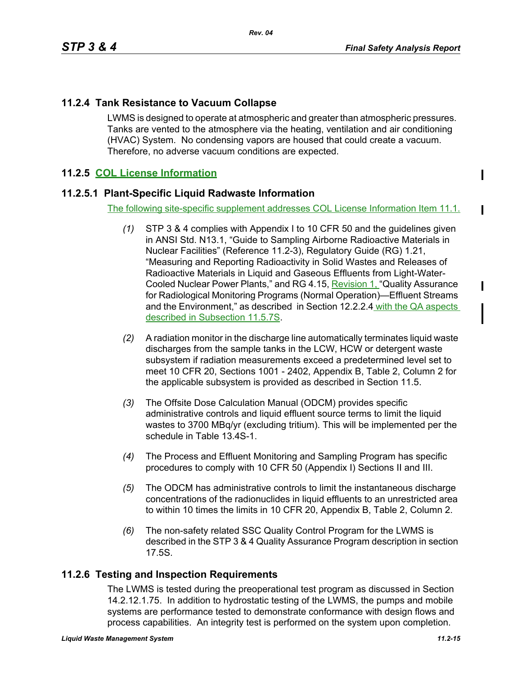I

ı

# **11.2.4 Tank Resistance to Vacuum Collapse**

LWMS is designed to operate at atmospheric and greater than atmospheric pressures. Tanks are vented to the atmosphere via the heating, ventilation and air conditioning (HVAC) System. No condensing vapors are housed that could create a vacuum. Therefore, no adverse vacuum conditions are expected.

# **11.2.5 COL License Information**

## **11.2.5.1 Plant-Specific Liquid Radwaste Information**

The following site-specific supplement addresses COL License Information Item 11.1.

- *(1)* STP 3 & 4 complies with Appendix I to 10 CFR 50 and the guidelines given in ANSI Std. N13.1, "Guide to Sampling Airborne Radioactive Materials in Nuclear Facilities" (Reference 11.2-3), Regulatory Guide (RG) 1.21, "Measuring and Reporting Radioactivity in Solid Wastes and Releases of Radioactive Materials in Liquid and Gaseous Effluents from Light-Water-Cooled Nuclear Power Plants," and RG 4.15, Revision 1. "Quality Assurance for Radiological Monitoring Programs (Normal Operation)—Effluent Streams and the Environment," as described in Section 12.2.2.4 with the QA aspects described in Subsection 11.5.7S.
- *(2)* A radiation monitor in the discharge line automatically terminates liquid waste discharges from the sample tanks in the LCW, HCW or detergent waste subsystem if radiation measurements exceed a predetermined level set to meet 10 CFR 20, Sections 1001 - 2402, Appendix B, Table 2, Column 2 for the applicable subsystem is provided as described in Section 11.5.
- *(3)* The Offsite Dose Calculation Manual (ODCM) provides specific administrative controls and liquid effluent source terms to limit the liquid wastes to 3700 MBq/yr (excluding tritium). This will be implemented per the schedule in Table 13.4S-1.
- *(4)* The Process and Effluent Monitoring and Sampling Program has specific procedures to comply with 10 CFR 50 (Appendix I) Sections II and III.
- *(5)* The ODCM has administrative controls to limit the instantaneous discharge concentrations of the radionuclides in liquid effluents to an unrestricted area to within 10 times the limits in 10 CFR 20, Appendix B, Table 2, Column 2.
- *(6)* The non-safety related SSC Quality Control Program for the LWMS is described in the STP 3 & 4 Quality Assurance Program description in section 17.5S.

## **11.2.6 Testing and Inspection Requirements**

The LWMS is tested during the preoperational test program as discussed in Section 14.2.12.1.75. In addition to hydrostatic testing of the LWMS, the pumps and mobile systems are performance tested to demonstrate conformance with design flows and process capabilities. An integrity test is performed on the system upon completion.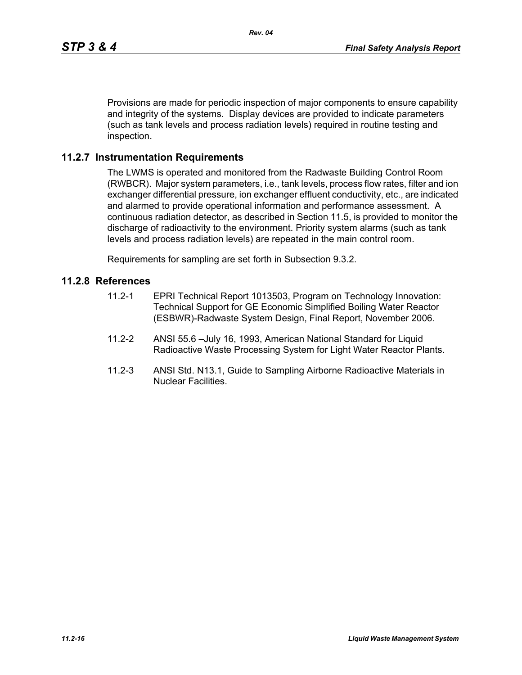Provisions are made for periodic inspection of major components to ensure capability and integrity of the systems. Display devices are provided to indicate parameters (such as tank levels and process radiation levels) required in routine testing and inspection.

#### **11.2.7 Instrumentation Requirements**

The LWMS is operated and monitored from the Radwaste Building Control Room (RWBCR). Major system parameters, i.e., tank levels, process flow rates, filter and ion exchanger differential pressure, ion exchanger effluent conductivity, etc., are indicated and alarmed to provide operational information and performance assessment. A continuous radiation detector, as described in Section 11.5, is provided to monitor the discharge of radioactivity to the environment. Priority system alarms (such as tank levels and process radiation levels) are repeated in the main control room.

Requirements for sampling are set forth in Subsection 9.3.2.

#### **11.2.8 References**

- 11.2-1 EPRI Technical Report 1013503, Program on Technology Innovation: Technical Support for GE Economic Simplified Boiling Water Reactor (ESBWR)-Radwaste System Design, Final Report, November 2006.
- 11.2-2 ANSI 55.6 –July 16, 1993, American National Standard for Liquid Radioactive Waste Processing System for Light Water Reactor Plants.
- 11.2-3 ANSI Std. N13.1, Guide to Sampling Airborne Radioactive Materials in Nuclear Facilities.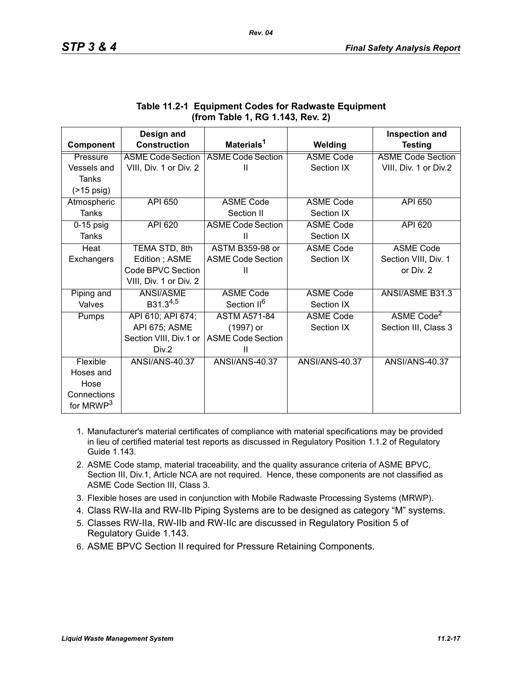|                       | Design and               |                          |                       | <b>Inspection and</b>    |
|-----------------------|--------------------------|--------------------------|-----------------------|--------------------------|
| Component             | <b>Construction</b>      | Materials <sup>1</sup>   | Welding               | <b>Testing</b>           |
| Pressure              | <b>ASME Code Section</b> | <b>ASME Code Section</b> | <b>ASME Code</b>      | <b>ASME Code Section</b> |
| Vessels and           | VIII, Div. 1 or Div. 2   | Ш                        | Section IX            | VIII, Div. 1 or Div.2    |
| Tanks                 |                          |                          |                       |                          |
| $($ >15 psig)         |                          |                          |                       |                          |
| Atmospheric           | <b>API 650</b>           | <b>ASME Code</b>         | <b>ASME Code</b>      | <b>API 650</b>           |
| <b>Tanks</b>          |                          | Section II               | Section IX            |                          |
| $0-15$ psig           | <b>API 620</b>           | <b>ASME Code Section</b> | <b>ASME Code</b>      | API 620                  |
| Tanks                 |                          | Ш                        | Section IX            |                          |
| Heat                  | TEMA STD, 8th            | <b>ASTM B359-98 or</b>   | <b>ASME Code</b>      | <b>ASME Code</b>         |
| Exchangers            | Edition; ASME            | <b>ASME Code Section</b> | Section IX            | Section VIII, Div. 1     |
|                       | Code BPVC Section        | Ш                        |                       | or Div. 2                |
|                       | VIII, Div. 1 or Div. 2   |                          |                       |                          |
| Piping and            | ANSI/ASME                | <b>ASME Code</b>         | <b>ASME Code</b>      | ANSI/ASME B31.3          |
| Valves                | $B31.3^{4,5}$            | Section II <sup>6</sup>  | Section IX            |                          |
| Pumps                 | API 610; API 674;        | <b>ASTM A571-84</b>      | <b>ASME Code</b>      | ASME Code <sup>2</sup>   |
|                       | API 675; ASME            | (1997) or                | Section IX            | Section III, Class 3     |
|                       | Section VIII, Div.1 or   | <b>ASME Code Section</b> |                       |                          |
|                       | Div.2                    | Ш                        |                       |                          |
| Flexible              | <b>ANSI/ANS-40.37</b>    | <b>ANSI/ANS-40.37</b>    | <b>ANSI/ANS-40.37</b> | <b>ANSI/ANS-40.37</b>    |
| Hoses and             |                          |                          |                       |                          |
| Hose                  |                          |                          |                       |                          |
| Connections           |                          |                          |                       |                          |
| for MRWP <sup>3</sup> |                          |                          |                       |                          |

## **Table 11.2-1 Equipment Codes for Radwaste Equipment (from Table 1, RG 1.143, Rev. 2)**

- 1. Manufacturer's material certificates of compliance with material specifications may be provided in lieu of certified material test reports as discussed in Regulatory Position 1.1.2 of Regulatory Guide 1.143.
- 2. ASME Code stamp, material traceability, and the quality assurance criteria of ASME BPVC, Section III, Div.1, Article NCA are not required. Hence, these components are not classified as ASME Code Section III, Class 3.
- 3. Flexible hoses are used in conjunction with Mobile Radwaste Processing Systems (MRWP).
- 4. Class RW-IIa and RW-IIb Piping Systems are to be designed as category "M" systems.
- 5. Classes RW-IIa, RW-IIb and RW-IIc are discussed in Regulatory Position 5 of Regulatory Guide 1.143.
- 6. ASME BPVC Section II required for Pressure Retaining Components.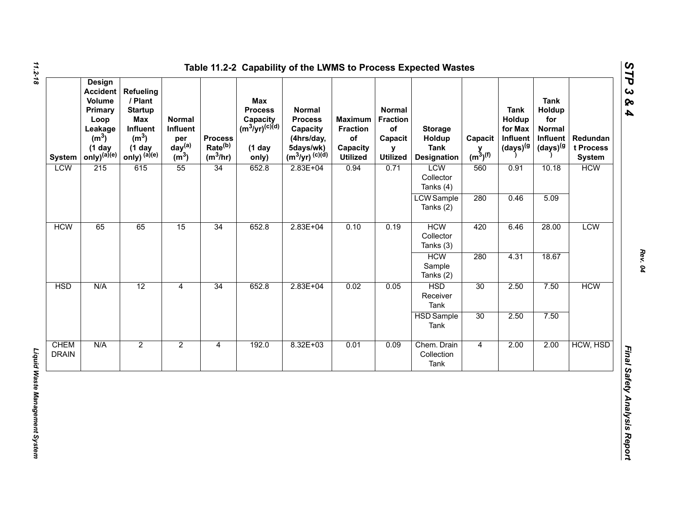| <b>System</b>               | <b>Design</b><br><b>Accident</b><br>Volume<br>Primary<br>Loop<br>Leakage<br>(m <sup>3</sup> )<br>$(1$ day<br>$only)^{(a)(e)}$ | Refueling<br>/ Plant<br><b>Startup</b><br>Max<br>Influent<br>(m <sup>3</sup> )<br>$(1$ day<br>only) $^{(a)(e)}$ | Normal<br>Influent<br>per<br>day <sup>(a)</sup><br>(m <sup>3</sup> ) | <b>Process</b><br>Rate <sup>(b)</sup><br>$(m^3/hr)$ | Max<br><b>Process</b><br>Capacity<br>(m <sup>3</sup> /yr) <sup>(c)(d)</sup><br>$(1$ day<br>only) | <b>Normal</b><br><b>Process</b><br>Capacity<br>(4hrs/day,<br>5days/wk)<br>$(m^3/yr)^{(c)(d)}$ | <b>Maximum</b><br><b>Fraction</b><br>of<br>Capacity<br><b>Utilized</b> | <b>Normal</b><br><b>Fraction</b><br>of<br>Capacit<br>y<br><b>Utilized</b> | <b>Storage</b><br>Holdup<br><b>Tank</b><br><b>Designation</b> | Capacit<br>$y$ <sub>(m<sup>3</sup>)<sup>(f)</sup></sub> | <b>Tank</b><br>Holdup<br>for Max<br>Influent<br>$(days)^{(g)}$ | <b>Tank</b><br>Holdup<br>for<br><b>Normal</b><br>Influent<br>(days) <sup>(g</sup> | Redundan<br>t Process<br><b>System</b> |
|-----------------------------|-------------------------------------------------------------------------------------------------------------------------------|-----------------------------------------------------------------------------------------------------------------|----------------------------------------------------------------------|-----------------------------------------------------|--------------------------------------------------------------------------------------------------|-----------------------------------------------------------------------------------------------|------------------------------------------------------------------------|---------------------------------------------------------------------------|---------------------------------------------------------------|---------------------------------------------------------|----------------------------------------------------------------|-----------------------------------------------------------------------------------|----------------------------------------|
| <b>LCW</b>                  | 215                                                                                                                           | 615                                                                                                             | 55                                                                   | 34                                                  | 652.8                                                                                            | $2.83E + 04$                                                                                  | 0.94                                                                   | 0.71                                                                      | LCW<br>Collector<br>Tanks (4)                                 | 560                                                     | 0.91                                                           | 10.18                                                                             | <b>HCW</b>                             |
|                             |                                                                                                                               |                                                                                                                 |                                                                      |                                                     |                                                                                                  |                                                                                               |                                                                        |                                                                           | <b>LCW</b> Sample<br>Tanks (2)                                | 280                                                     | 0.46                                                           | 5.09                                                                              |                                        |
| <b>HCW</b>                  | 65                                                                                                                            | 65                                                                                                              | 15                                                                   | 34                                                  | 652.8                                                                                            | $2.83E + 04$                                                                                  | 0.10                                                                   | 0.19                                                                      | <b>HCW</b><br>Collector<br>Tanks (3)                          | 420                                                     | 6.46                                                           | 28.00                                                                             | <b>LCW</b>                             |
|                             |                                                                                                                               |                                                                                                                 |                                                                      |                                                     |                                                                                                  |                                                                                               |                                                                        |                                                                           | <b>HCW</b><br>Sample<br>Tanks (2)                             | 280                                                     | 4.31                                                           | 18.67                                                                             |                                        |
| <b>HSD</b>                  | N/A                                                                                                                           | 12                                                                                                              | $\overline{4}$                                                       | 34                                                  | 652.8                                                                                            | $2.83E + 04$                                                                                  | 0.02                                                                   | 0.05                                                                      | <b>HSD</b><br>Receiver<br>Tank                                | 30                                                      | 2.50                                                           | 7.50                                                                              | <b>HCW</b>                             |
|                             |                                                                                                                               |                                                                                                                 |                                                                      |                                                     |                                                                                                  |                                                                                               |                                                                        |                                                                           | <b>HSD</b> Sample<br>Tank                                     | 30                                                      | 2.50                                                           | 7.50                                                                              |                                        |
| <b>CHEM</b><br><b>DRAIN</b> | N/A                                                                                                                           | $\overline{2}$                                                                                                  | $\overline{2}$                                                       | $\overline{4}$                                      | 192.0                                                                                            | $8.32E + 03$                                                                                  | 0.01                                                                   | 0.09                                                                      | Chem. Drain<br>Collection<br>Tank                             | $\overline{4}$                                          | 2.00                                                           | 2.00                                                                              | HCW, HSD                               |

*Rev. 04*

*STP 3 & 4*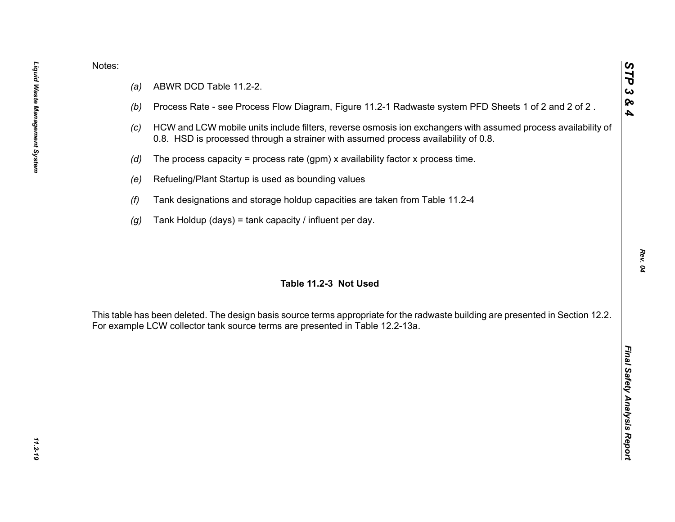- 
- 
- 
- 
- 
- 
- 

Notes:<br>
(a) ABWR DCD Table 11.2-2.<br>
(b) Process Rate - see Process Flow Diagram, Figure 11.2-1 Radwaste system PFD Sheets 1 of 2 and 2 of 2.<br>
(c) HCW and LCW mobile units include filters, reverse osmosis ion exchangers wit

*STP 3 & 4*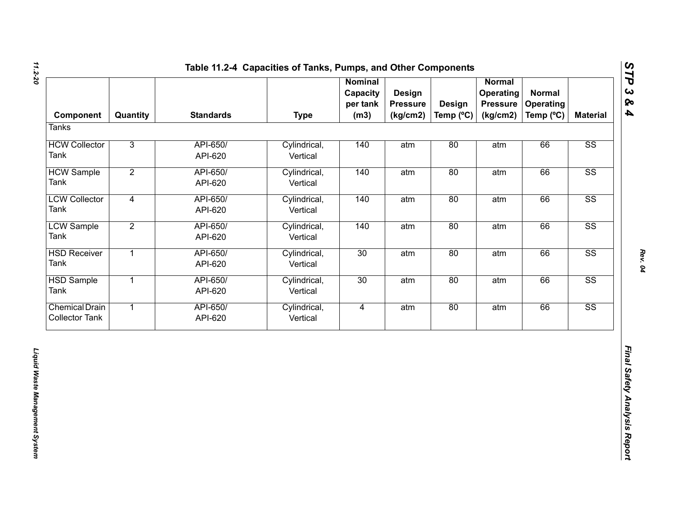| Component                                      | Quantity       | <b>Standards</b>    | <b>Type</b>              | <b>Nominal</b><br>Capacity<br>per tank<br>(m3) | Design<br><b>Pressure</b><br>(kg/cm2) | <b>Design</b><br>Temp (°C) | <b>Normal</b><br>Operating<br><b>Pressure</b><br>(kg/cm2) | <b>Normal</b><br><b>Operating</b><br>Temp (°C) | <b>Material</b>        |
|------------------------------------------------|----------------|---------------------|--------------------------|------------------------------------------------|---------------------------------------|----------------------------|-----------------------------------------------------------|------------------------------------------------|------------------------|
| <b>Tanks</b>                                   |                |                     |                          |                                                |                                       |                            |                                                           |                                                |                        |
| <b>HCW Collector</b><br>Tank                   | $\overline{3}$ | API-650/<br>API-620 | Cylindrical,<br>Vertical | 140                                            | atm                                   | 80                         | atm                                                       | 66                                             | SS                     |
| <b>HCW Sample</b><br>Tank                      | $\overline{2}$ | API-650/<br>API-620 | Cylindrical,<br>Vertical | 140                                            | atm                                   | 80                         | atm                                                       | 66                                             | $\overline{\text{SS}}$ |
| <b>LCW Collector</b><br>Tank                   | $\overline{4}$ | API-650/<br>API-620 | Cylindrical,<br>Vertical | 140                                            | atm                                   | 80                         | atm                                                       | 66                                             | $\overline{\text{SS}}$ |
| <b>LCW Sample</b><br>Tank                      | $\overline{2}$ | API-650/<br>API-620 | Cylindrical,<br>Vertical | 140                                            | atm                                   | 80                         | atm                                                       | 66                                             | $\overline{\text{SS}}$ |
| <b>HSD Receiver</b><br>Tank                    | $\overline{1}$ | API-650/<br>API-620 | Cylindrical,<br>Vertical | 30                                             | atm                                   | 80                         | atm                                                       | 66                                             | SS                     |
| <b>HSD Sample</b><br>Tank                      | $\overline{1}$ | API-650/<br>API-620 | Cylindrical,<br>Vertical | 30                                             | atm                                   | 80                         | atm                                                       | 66                                             | $\overline{\text{SS}}$ |
| <b>Chemical Drain</b><br><b>Collector Tank</b> | $\overline{1}$ | API-650/<br>API-620 | Cylindrical,<br>Vertical | $\overline{4}$                                 | atm                                   | 80                         | atm                                                       | 66                                             | SS                     |
|                                                |                |                     |                          |                                                |                                       |                            |                                                           |                                                |                        |

*Rev. 04*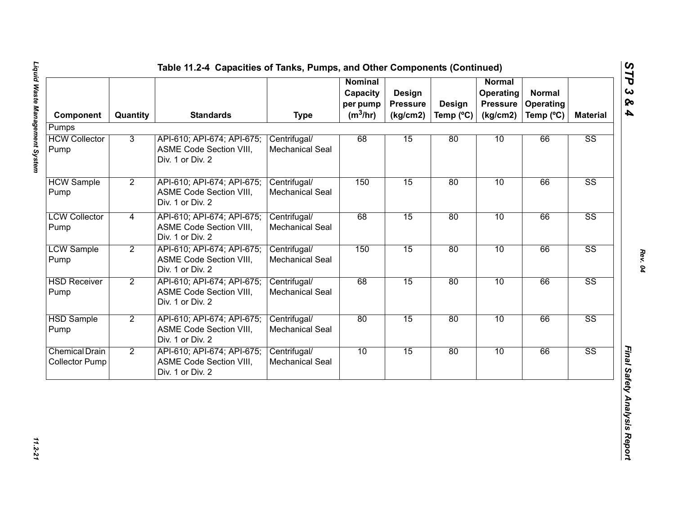| Component                                      | Quantity       | <b>Standards</b>                                                                 | <b>Type</b>                            | <b>Nominal</b><br>Capacity<br>per pump<br>$(m^3/hr)$ | Design<br><b>Pressure</b><br>(kg/cm2) | <b>Design</b><br>Temp $(^{\circ}C)$ | <b>Normal</b><br>Operating<br><b>Pressure</b><br>(kg/cm2) | <b>Normal</b><br><b>Operating</b><br>Temp (°C) | <b>Material</b>        |
|------------------------------------------------|----------------|----------------------------------------------------------------------------------|----------------------------------------|------------------------------------------------------|---------------------------------------|-------------------------------------|-----------------------------------------------------------|------------------------------------------------|------------------------|
| Pumps                                          |                |                                                                                  |                                        |                                                      |                                       |                                     |                                                           |                                                |                        |
| <b>HCW Collector</b><br>Pump                   | 3              | API-610; API-674; API-675;<br><b>ASME Code Section VIII,</b><br>Div. 1 or Div. 2 | Centrifugal/<br><b>Mechanical Seal</b> | 68                                                   | 15                                    | 80                                  | 10                                                        | 66                                             | $\overline{\text{SS}}$ |
| <b>HCW Sample</b><br>Pump                      | $\overline{2}$ | API-610; API-674; API-675;<br>ASME Code Section VIII,<br>Div. 1 or Div. 2        | Centrifugal/<br><b>Mechanical Seal</b> | 150                                                  | 15                                    | 80                                  | 10                                                        | 66                                             | $\overline{\text{SS}}$ |
| <b>LCW Collector</b><br>Pump                   | $\overline{4}$ | API-610; API-674; API-675;<br>ASME Code Section VIII,<br>Div. 1 or Div. 2        | Centrifugal/<br><b>Mechanical Seal</b> | 68                                                   | 15                                    | 80                                  | 10                                                        | 66                                             | $\overline{\text{SS}}$ |
| <b>LCW Sample</b><br>Pump                      | $\overline{2}$ | API-610; API-674; API-675;<br>ASME Code Section VIII,<br>Div. 1 or Div. 2        | Centrifugal/<br><b>Mechanical Seal</b> | 150                                                  | 15                                    | 80                                  | 10                                                        | 66                                             | $\overline{\text{SS}}$ |
| <b>HSD Receiver</b><br>Pump                    | $\overline{2}$ | API-610; API-674; API-675;<br><b>ASME Code Section VIII,</b><br>Div. 1 or Div. 2 | Centrifugal/<br>Mechanical Seal        | 68                                                   | 15                                    | 80                                  | 10                                                        | 66                                             | $\overline{\text{SS}}$ |
| <b>HSD Sample</b><br>Pump                      | $\overline{2}$ | API-610; API-674; API-675;<br><b>ASME Code Section VIII,</b><br>Div. 1 or Div. 2 | Centrifugal/<br>Mechanical Seal        | 80                                                   | 15                                    | 80                                  | 10                                                        | 66                                             | $\overline{\text{SS}}$ |
| <b>Chemical Drain</b><br><b>Collector Pump</b> | $\overline{2}$ | API-610; API-674; API-675;<br>ASME Code Section VIII,<br>Div. 1 or Div. 2        | Centrifugal/<br><b>Mechanical Seal</b> | 10                                                   | 15                                    | 80                                  | 10                                                        | 66                                             | $\overline{\text{SS}}$ |

*STP 3 & 4*

11.2-21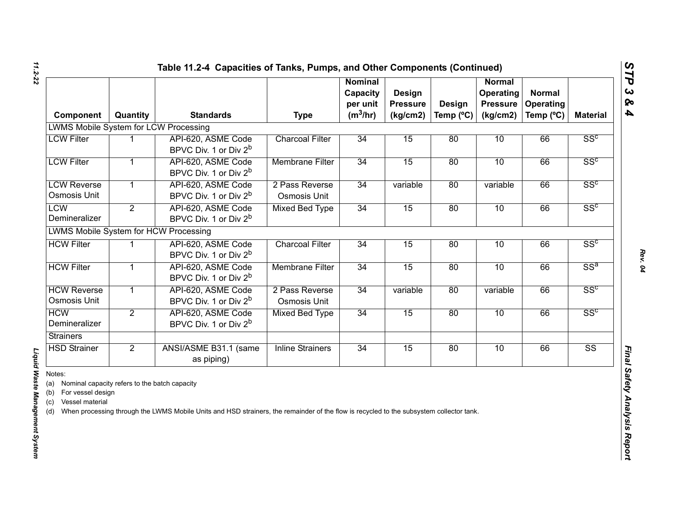| Component                                                                                                             | Quantity       | <b>Standards</b>                                                                                                                        | <b>Type</b>                    | <b>Nominal</b><br>Capacity<br>per unit<br>$(m^3/hr)$ | <b>Design</b><br><b>Pressure</b><br>(kg/cm2) | <b>Design</b><br>Temp $(^{\circ}C)$ | Normal<br>Operating<br><b>Pressure</b><br>(kg/cm2) | <b>Normal</b><br>Operating<br>Temp (°C) | <b>Material</b>        |
|-----------------------------------------------------------------------------------------------------------------------|----------------|-----------------------------------------------------------------------------------------------------------------------------------------|--------------------------------|------------------------------------------------------|----------------------------------------------|-------------------------------------|----------------------------------------------------|-----------------------------------------|------------------------|
| <b>LWMS Mobile System for LCW Processing</b>                                                                          |                |                                                                                                                                         |                                |                                                      |                                              |                                     |                                                    |                                         |                        |
| <b>LCW Filter</b>                                                                                                     |                | API-620, ASME Code<br>BPVC Div. 1 or Div 2 <sup>b</sup>                                                                                 | <b>Charcoal Filter</b>         | 34                                                   | 15                                           | 80                                  | 10                                                 | 66                                      | SS <sup>c</sup>        |
| <b>LCW Filter</b>                                                                                                     | 1              | API-620, ASME Code<br>BPVC Div. 1 or Div 2 <sup>b</sup>                                                                                 | <b>Membrane Filter</b>         | 34                                                   | 15                                           | 80                                  | 10                                                 | 66                                      | SS <sup>c</sup>        |
| <b>LCW Reverse</b><br>Osmosis Unit                                                                                    | $\mathbf{1}$   | API-620, ASME Code<br>BPVC Div. 1 or Div 2 <sup>b</sup>                                                                                 | 2 Pass Reverse<br>Osmosis Unit | 34                                                   | variable                                     | 80                                  | variable                                           | 66                                      | SS <sup>c</sup>        |
| <b>LCW</b><br>Demineralizer                                                                                           | $\overline{2}$ | API-620, ASME Code<br>BPVC Div. 1 or Div 2 <sup>b</sup>                                                                                 | <b>Mixed Bed Type</b>          | 34                                                   | 15                                           | 80                                  | 10                                                 | 66                                      | SS <sup>c</sup>        |
| <b>LWMS Mobile System for HCW Processing</b>                                                                          |                |                                                                                                                                         |                                |                                                      |                                              |                                     |                                                    |                                         |                        |
| <b>HCW Filter</b>                                                                                                     |                | API-620, ASME Code<br>BPVC Div. 1 or Div 2 <sup>b</sup>                                                                                 | <b>Charcoal Filter</b>         | 34                                                   | 15                                           | 80                                  | 10                                                 | 66                                      | SS <sup>c</sup>        |
| <b>HCW Filter</b>                                                                                                     | $\mathbf{1}$   | API-620, ASME Code<br>BPVC Div. 1 or Div 2 <sup>b</sup>                                                                                 | <b>Membrane Filter</b>         | 34                                                   | 15                                           | 80                                  | 10                                                 | 66                                      | $SS^a$                 |
| <b>HCW Reverse</b><br>Osmosis Unit                                                                                    | $\mathbf{1}$   | API-620, ASME Code<br>BPVC Div. 1 or Div 2 <sup>b</sup>                                                                                 | 2 Pass Reverse<br>Osmosis Unit | 34                                                   | variable                                     | 80                                  | variable                                           | 66                                      | SS <sup>c</sup>        |
| <b>HCW</b><br>Demineralizer                                                                                           | $\overline{2}$ | API-620, ASME Code<br>BPVC Div. 1 or Div 2 <sup>b</sup>                                                                                 | <b>Mixed Bed Type</b>          | 34                                                   | 15                                           | 80                                  | 10                                                 | 66                                      | SS <sup>c</sup>        |
| <b>Strainers</b>                                                                                                      |                |                                                                                                                                         |                                |                                                      |                                              |                                     |                                                    |                                         |                        |
| <b>HSD Strainer</b>                                                                                                   | $\overline{2}$ | ANSI/ASME B31.1 (same<br>as piping)                                                                                                     | <b>Inline Strainers</b>        | 34                                                   | 15                                           | 80                                  | 10                                                 | 66                                      | $\overline{\text{SS}}$ |
| Notes:<br>(a) Nominal capacity refers to the batch capacity<br>(b) For vessel design<br>Vessel material<br>(c)<br>(d) |                | When processing through the LWMS Mobile Units and HSD strainers, the remainder of the flow is recycled to the subsystem collector tank. |                                |                                                      |                                              |                                     |                                                    |                                         |                        |

Liquid Waste Management System

*Liquid Waste Management System*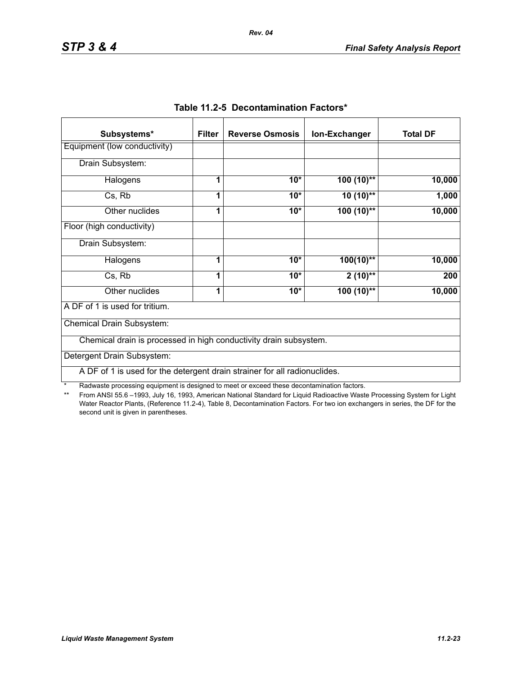| Subsystems*                                                               | <b>Filter</b> | <b>Reverse Osmosis</b> | Ion-Exchanger | <b>Total DF</b> |
|---------------------------------------------------------------------------|---------------|------------------------|---------------|-----------------|
| Equipment (low conductivity)                                              |               |                        |               |                 |
| Drain Subsystem:                                                          |               |                        |               |                 |
| Halogens                                                                  | 1             | $10*$                  | $100(10)$ **  | 10,000          |
| Cs, Rb                                                                    | 1             | $10*$                  | $10(10)$ **   | 1,000           |
| Other nuclides                                                            | 1             | $10*$                  | $100(10)$ **  | 10,000          |
| Floor (high conductivity)                                                 |               |                        |               |                 |
| Drain Subsystem:                                                          |               |                        |               |                 |
| Halogens                                                                  | 1             | $10*$                  | $100(10)$ **  | 10,000          |
| Cs, Rb                                                                    | 1             | $10*$                  | $2(10)$ **    | 200             |
| Other nuclides                                                            | 1             | $10*$                  | $100(10)$ **  | 10,000          |
| A DF of 1 is used for tritium.                                            |               |                        |               |                 |
| Chemical Drain Subsystem:                                                 |               |                        |               |                 |
| Chemical drain is processed in high conductivity drain subsystem.         |               |                        |               |                 |
| Detergent Drain Subsystem:                                                |               |                        |               |                 |
| A DF of 1 is used for the detergent drain strainer for all radionuclides. |               |                        |               |                 |

|  | Table 11.2-5 Decontamination Factors* |  |
|--|---------------------------------------|--|
|--|---------------------------------------|--|

\* Radwaste processing equipment is designed to meet or exceed these decontamination factors.<br>\*\* From ANSI 55.6 -1993 July 16, 1993 American National Standard for Liquid Radioactive Waste

From ANSI 55.6 –1993, July 16, 1993, American National Standard for Liquid Radioactive Waste Processing System for Light Water Reactor Plants, (Reference 11.2-4), Table 8, Decontamination Factors. For two ion exchangers in series, the DF for the second unit is given in parentheses.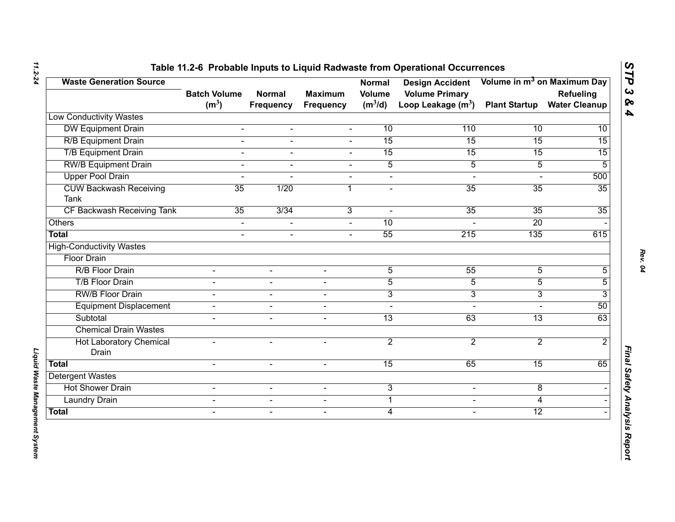| <b>Waste Generation Source</b>               | <b>Batch Volume</b> | <b>Normal</b>  | <b>Maximum</b>           | <b>Normal</b><br><b>Volume</b> | <b>Design Accident</b><br><b>Volume Primary</b> |                      | Volume in m <sup>3</sup> on Maximum Day<br>Refueling |
|----------------------------------------------|---------------------|----------------|--------------------------|--------------------------------|-------------------------------------------------|----------------------|------------------------------------------------------|
|                                              | (m <sup>3</sup> )   | Frequency      | <b>Frequency</b>         | $(m^3/d)$                      | Loop Leakage $(m^3)$                            | <b>Plant Startup</b> | <b>Water Cleanup</b>                                 |
| <b>Low Conductivity Wastes</b>               |                     |                |                          |                                |                                                 |                      |                                                      |
| <b>DW Equipment Drain</b>                    | $\blacksquare$      | $\blacksquare$ | $\blacksquare$           | 10                             | 110                                             | 10                   | 10                                                   |
| <b>R/B Equipment Drain</b>                   | $\overline{a}$      | $\blacksquare$ | $\overline{a}$           | 15                             | 15                                              | 15                   | $\overline{15}$                                      |
| <b>T/B Equipment Drain</b>                   | $\overline{a}$      | $\blacksquare$ | $\mathbf{r}$             | 15                             | 15                                              | 15                   | 15                                                   |
| <b>RW/B Equipment Drain</b>                  | L.                  |                |                          | $\overline{5}$                 | $\overline{5}$                                  | $\overline{5}$       | 5                                                    |
| <b>Upper Pool Drain</b>                      | $\overline{a}$      |                | $\blacksquare$           | $\blacksquare$                 | $\blacksquare$                                  |                      | 500                                                  |
| <b>CUW Backwash Receiving</b><br><b>Tank</b> | 35                  | 1/20           | 1                        | $\blacksquare$                 | 35                                              | 35                   | 35                                                   |
| CF Backwash Receiving Tank                   | 35                  | 3/34           | 3                        | $\sim$                         | 35                                              | $\overline{35}$      | 35                                                   |
| Others                                       | $\blacksquare$      |                |                          | 10                             |                                                 | 20                   |                                                      |
| <b>Total</b>                                 | $\overline{a}$      | $\mathbf{r}$   | $\sim$                   | 55                             | 215                                             | 135                  | 615                                                  |
| <b>High-Conductivity Wastes</b>              |                     |                |                          |                                |                                                 |                      |                                                      |
| <b>Floor Drain</b>                           |                     |                |                          |                                |                                                 |                      |                                                      |
| R/B Floor Drain                              |                     |                |                          | $\overline{5}$                 | 55                                              | $\overline{5}$       | 5                                                    |
| <b>T/B Floor Drain</b>                       | $\blacksquare$      | $\sim$         | $\blacksquare$           | $\overline{5}$                 | $\overline{5}$                                  | $\overline{5}$       | 5                                                    |
| <b>RW/B Floor Drain</b>                      |                     | $\sim$         | $\overline{\phantom{0}}$ | $\overline{3}$                 | $\overline{3}$                                  | 3                    | 3                                                    |
| <b>Equipment Displacement</b>                | $\blacksquare$      | $\blacksquare$ | $\sim$                   | $\blacksquare$                 | $\sim$                                          | $\overline{a}$       | 50                                                   |
| Subtotal                                     |                     | $\blacksquare$ | $\blacksquare$           | $\overline{13}$                | 63                                              | $\overline{13}$      | 63                                                   |
| <b>Chemical Drain Wastes</b>                 |                     |                |                          |                                |                                                 |                      |                                                      |
| <b>Hot Laboratory Chemical</b><br>Drain      | $\blacksquare$      | $\sim$         | $\overline{\phantom{0}}$ | $\overline{2}$                 | $\overline{2}$                                  | $\overline{2}$       | $\overline{2}$                                       |
| <b>Total</b>                                 | $\overline{a}$      | $\mathbf{r}$   | $\sim$                   | 15                             | 65                                              | 15                   | 65                                                   |
| <b>Detergent Wastes</b>                      |                     |                |                          |                                |                                                 |                      |                                                      |
| <b>Hot Shower Drain</b>                      | $\blacksquare$      | $\blacksquare$ | $\blacksquare$           | 3                              | $\blacksquare$                                  | 8                    |                                                      |
| <b>Laundry Drain</b>                         | $\mathbf{r}$        | $\blacksquare$ | $\blacksquare$           | $\mathbf 1$                    | $\blacksquare$                                  | 4                    |                                                      |
| <b>Total</b>                                 | $\blacksquare$      | $\sim$         | $\overline{\phantom{a}}$ | $\overline{4}$                 | $\blacksquare$                                  | $\overline{12}$      |                                                      |

*Liquid Waste Management System* 

Liquid Waste Management System

*STP 3 & 4*